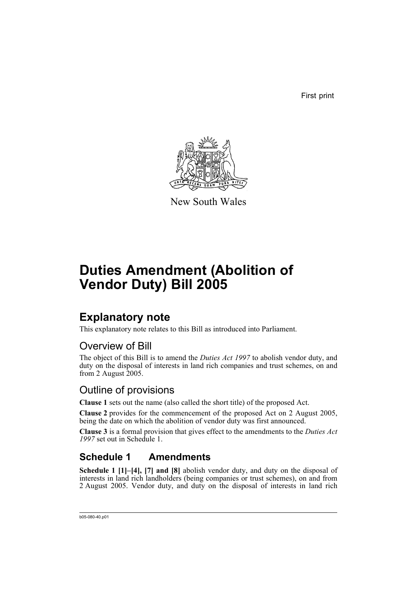First print



New South Wales

# **Duties Amendment (Abolition of Vendor Duty) Bill 2005**

### **Explanatory note**

This explanatory note relates to this Bill as introduced into Parliament.

#### Overview of Bill

The object of this Bill is to amend the *Duties Act 1997* to abolish vendor duty, and duty on the disposal of interests in land rich companies and trust schemes, on and from 2 August  $2005$ .

#### Outline of provisions

**Clause 1** sets out the name (also called the short title) of the proposed Act.

**Clause 2** provides for the commencement of the proposed Act on 2 August 2005, being the date on which the abolition of vendor duty was first announced.

**Clause 3** is a formal provision that gives effect to the amendments to the *Duties Act 1997* set out in Schedule 1.

#### **Schedule 1 Amendments**

**Schedule 1 [1]–[4], [7] and [8]** abolish vendor duty, and duty on the disposal of interests in land rich landholders (being companies or trust schemes), on and from 2 August 2005. Vendor duty, and duty on the disposal of interests in land rich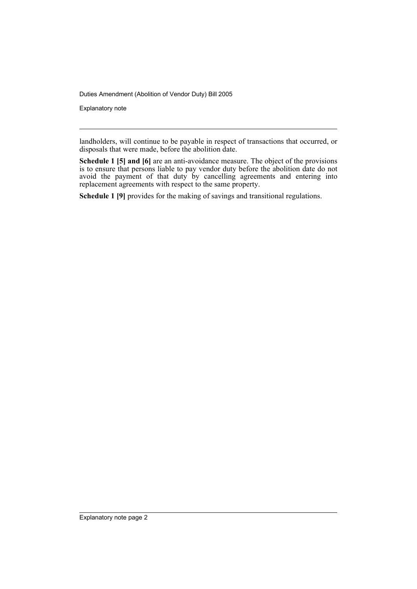Explanatory note

landholders, will continue to be payable in respect of transactions that occurred, or disposals that were made, before the abolition date.

**Schedule 1 [5] and [6]** are an anti-avoidance measure. The object of the provisions is to ensure that persons liable to pay vendor duty before the abolition date do not avoid the payment of that duty by cancelling agreements and entering into replacement agreements with respect to the same property.

**Schedule 1 [9]** provides for the making of savings and transitional regulations.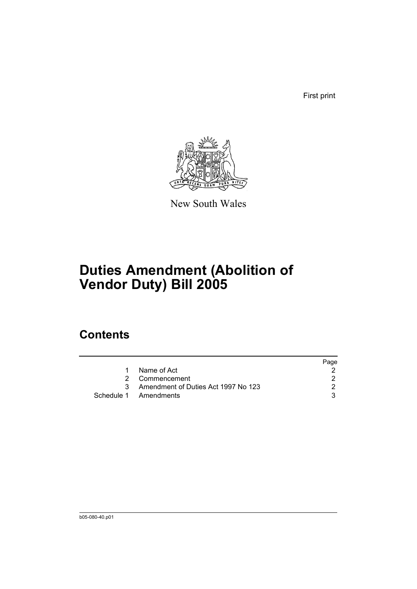First print



New South Wales

## **Duties Amendment (Abolition of Vendor Duty) Bill 2005**

### **Contents**

|      |                                     | Page |
|------|-------------------------------------|------|
|      | Name of Act                         |      |
|      | 2 Commencement                      |      |
| ्र । | Amendment of Duties Act 1997 No 123 |      |
|      | Schedule 1 Amendments               |      |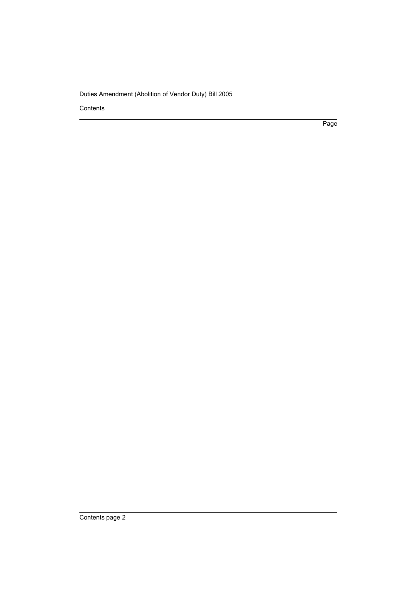Contents

Page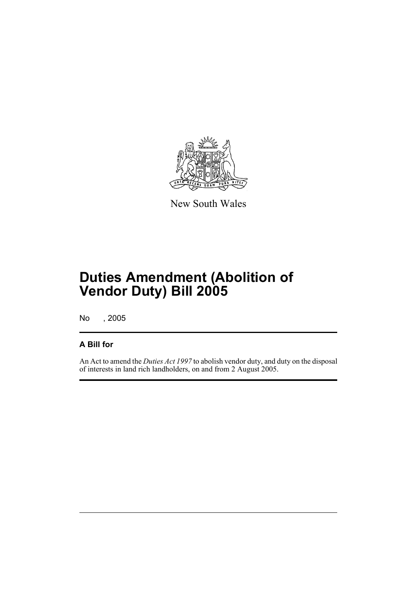

New South Wales

## **Duties Amendment (Abolition of Vendor Duty) Bill 2005**

No , 2005

#### **A Bill for**

An Act to amend the *Duties Act 1997* to abolish vendor duty, and duty on the disposal of interests in land rich landholders, on and from 2 August 2005.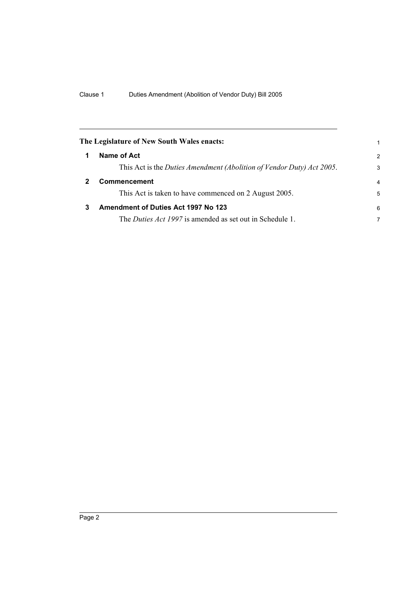<span id="page-5-2"></span><span id="page-5-1"></span><span id="page-5-0"></span>

|   | The Legislature of New South Wales enacts:                            | 1 |
|---|-----------------------------------------------------------------------|---|
|   | Name of Act                                                           | 2 |
|   | This Act is the Duties Amendment (Abolition of Vendor Duty) Act 2005. | 3 |
|   | Commencement                                                          | 4 |
|   | This Act is taken to have commenced on 2 August 2005.                 | 5 |
| 3 | <b>Amendment of Duties Act 1997 No 123</b>                            | 6 |
|   | The <i>Duties Act 1997</i> is amended as set out in Schedule 1.       | 7 |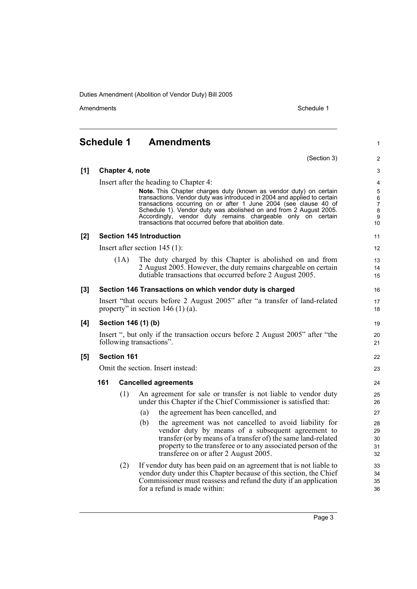Amendments Schedule 1

(Section 3)

1

2

## <span id="page-6-0"></span>**Schedule 1 Amendments**

| [1] |                                   | Chapter 4, note    |                                                                                                                                                                                                                                                                                                                                                                                                                                                          | 3                                                          |
|-----|-----------------------------------|--------------------|----------------------------------------------------------------------------------------------------------------------------------------------------------------------------------------------------------------------------------------------------------------------------------------------------------------------------------------------------------------------------------------------------------------------------------------------------------|------------------------------------------------------------|
|     |                                   |                    | Insert after the heading to Chapter 4:<br>Note. This Chapter charges duty (known as vendor duty) on certain<br>transactions. Vendor duty was introduced in 2004 and applied to certain<br>transactions occurring on or after 1 June 2004 (see clause 40 of<br>Schedule 1). Vendor duty was abolished on and from 2 August 2005.<br>Accordingly, vendor duty remains chargeable only on certain<br>transactions that occurred before that abolition date. | 4<br>5<br>$\,6\,$<br>$\boldsymbol{7}$<br>$\bf8$<br>9<br>10 |
| [2] |                                   |                    | <b>Section 145 Introduction</b>                                                                                                                                                                                                                                                                                                                                                                                                                          | 11                                                         |
|     |                                   |                    | Insert after section $145$ (1):                                                                                                                                                                                                                                                                                                                                                                                                                          | 12                                                         |
|     |                                   | (1A)               | The duty charged by this Chapter is abolished on and from<br>2 August 2005. However, the duty remains chargeable on certain<br>dutiable transactions that occurred before 2 August 2005.                                                                                                                                                                                                                                                                 | 13<br>14<br>15                                             |
| [3] |                                   |                    | Section 146 Transactions on which vendor duty is charged                                                                                                                                                                                                                                                                                                                                                                                                 | 16                                                         |
|     |                                   |                    | Insert "that occurs before 2 August 2005" after "a transfer of land-related<br>property" in section $146(1)(a)$ .                                                                                                                                                                                                                                                                                                                                        | 17<br>18                                                   |
| [4] |                                   |                    | Section 146 (1) (b)                                                                                                                                                                                                                                                                                                                                                                                                                                      | 19                                                         |
|     |                                   |                    | Insert ", but only if the transaction occurs before 2 August 2005" after "the<br>following transactions".                                                                                                                                                                                                                                                                                                                                                | 20<br>21                                                   |
| [5] |                                   | <b>Section 161</b> |                                                                                                                                                                                                                                                                                                                                                                                                                                                          | 22                                                         |
|     | Omit the section. Insert instead: |                    | 23                                                                                                                                                                                                                                                                                                                                                                                                                                                       |                                                            |
|     | 161                               |                    | <b>Cancelled agreements</b>                                                                                                                                                                                                                                                                                                                                                                                                                              | 24                                                         |
|     |                                   | (1)                | An agreement for sale or transfer is not liable to vendor duty<br>under this Chapter if the Chief Commissioner is satisfied that:                                                                                                                                                                                                                                                                                                                        | 25<br>26                                                   |
|     |                                   |                    | the agreement has been cancelled, and<br>(a)                                                                                                                                                                                                                                                                                                                                                                                                             | 27                                                         |
|     |                                   |                    | (b)<br>the agreement was not cancelled to avoid liability for<br>vendor duty by means of a subsequent agreement to<br>transfer (or by means of a transfer of) the same land-related<br>property to the transferee or to any associated person of the<br>transferee on or after 2 August 2005.                                                                                                                                                            | 28<br>29<br>30<br>31<br>32                                 |
|     |                                   | (2)                | If vendor duty has been paid on an agreement that is not liable to<br>vendor duty under this Chapter because of this section, the Chief<br>Commissioner must reassess and refund the duty if an application<br>for a refund is made within:                                                                                                                                                                                                              | 33<br>34<br>35<br>36                                       |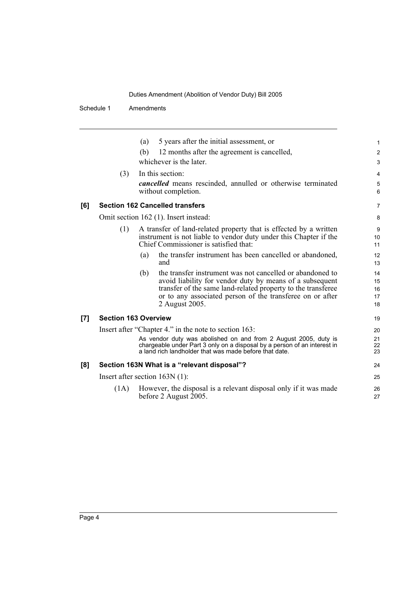#### Schedule 1 Amendments

|     |      | 5 years after the initial assessment, or<br>(a)                                                                                                                                                                                                                             | $\mathbf{1}$               |
|-----|------|-----------------------------------------------------------------------------------------------------------------------------------------------------------------------------------------------------------------------------------------------------------------------------|----------------------------|
|     |      | 12 months after the agreement is cancelled,<br>(b)                                                                                                                                                                                                                          | 2                          |
|     |      | whichever is the later.                                                                                                                                                                                                                                                     | 3                          |
|     | (3)  | In this section:                                                                                                                                                                                                                                                            | 4                          |
|     |      | <i>cancelled</i> means rescinded, annulled or otherwise terminated<br>without completion.                                                                                                                                                                                   | 5<br>6                     |
| [6] |      | <b>Section 162 Cancelled transfers</b>                                                                                                                                                                                                                                      | $\overline{7}$             |
|     |      | Omit section 162 (1). Insert instead:                                                                                                                                                                                                                                       | 8                          |
|     | (1)  | A transfer of land-related property that is effected by a written<br>instrument is not liable to vendor duty under this Chapter if the<br>Chief Commissioner is satisfied that:                                                                                             | 9<br>10<br>11              |
|     |      | the transfer instrument has been cancelled or abandoned,<br>(a)<br>and                                                                                                                                                                                                      | 12<br>13                   |
|     |      | the transfer instrument was not cancelled or abandoned to<br>(b)<br>avoid liability for vendor duty by means of a subsequent<br>transfer of the same land-related property to the transferee<br>or to any associated person of the transferee on or after<br>2 August 2005. | 14<br>15<br>16<br>17<br>18 |
| [7] |      | <b>Section 163 Overview</b>                                                                                                                                                                                                                                                 | 19                         |
|     |      | Insert after "Chapter 4." in the note to section 163:                                                                                                                                                                                                                       | 20                         |
|     |      | As vendor duty was abolished on and from 2 August 2005, duty is<br>chargeable under Part 3 only on a disposal by a person of an interest in<br>a land rich landholder that was made before that date.                                                                       | 21<br>22<br>23             |
| [8] |      | Section 163N What is a "relevant disposal"?                                                                                                                                                                                                                                 | 24                         |
|     |      | Insert after section $163N(1)$ :                                                                                                                                                                                                                                            | 25                         |
|     | (1A) | However, the disposal is a relevant disposal only if it was made<br>before 2 August 2005.                                                                                                                                                                                   | 26<br>27                   |